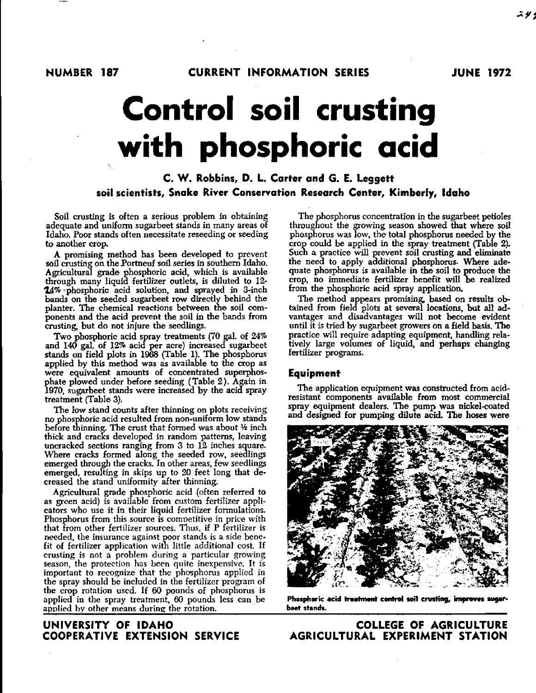# **Control soil crusting**

## **with phosphoric acid**

#### **C. W. Robbins, D. L. Carter and G. E. Leggett soil scientists, Snake River Conservation Research Center, Kimberly, Idaho**

Soil crusting is often a serious problem in obtaining adequate and uniform sugarbeet stands in many areas of Idaho. Poor stands often necessitate reseeding or seeding to another crop.

A promising method has been developed to prevent soil crusting on the Portneuf soil series in southern Idaho. Agricultural grade phosphoric acid, which is available through many liquid fertilizer outlets, is diluted to 12- 24% -phosphoric acid solution, and sprayed in 3-inch bands on the seeded sugarbeet row directly behind the planter. The chemical reactions between the soil components and the acid prevent the soil in the bands from crusting, but do not injure the seedlings.

Two phosphoric acid spray treatments (70 gal. of 24% and 140 gal. of 12% acid per acre) increased sugarbeet stands on field plots in 1968 (Table 1). The phosphorus applied by this method was as available to the crop as were equivalent amounts of concentrated superphosphate plowed under before seeding (Table 2). Again in 1970, sugarbeet stands were increased by the acid spray treatment (Table 3).

The low stand counts after thinning on plots receiving no phosphoric acid resulted from non-uniform low stands before thinning. The crust that formed was about 1/2 inch thick and cracks developed in random patterns, leaving uncracked sections ranging from  $3$  to  $12$  inches square. Where cracks formed along the seeded row, seedlings emerged through the cracks. In other areas, few seedlings emerged, resulting in skips up to 20 feet long that decreased the stand uniformity after thinning.

Agricultural grade phosphoric acid (often referred to as *green acid)* is available from custom fertilizer applicators who use it in their liquid fertilizer formulations. Phosphorus from this source is competitive in price with that from other fertilizer sources. Thus, if P fertilizer is needed, the insurance against poor stands is a side benefit of fertilizer application with little additional cost. If crusting *is* not a problem during a particular growing season, the protection has been quite inexpensive. It is important to recognize that the phosphorus applied in the spray should be included in the fertilizer program of the crop rotation used. If 60 pounds of phosphorus is applied in the spray treatment, 60 pounds less can be applied by other means during the rotation.

### COOPERATIVE EXTENSION SERVICE

The phosphorus concentration in the sugarbeet petioles throughout the growing season showed that where soil phosphorus was low, the total phosphorus needed by the crop could be applied in the spray treatment (Table 2). Such a practice will prevent soil crusting and eliminate the need to apply additional phosphorus. Where adequate phosphorus is available in the soil to produce the crop, no immediate fertilizer benefit will be realized from the phosphoric acid spray application.

The method appears promising, based on results obtained from field plots at several locations, but all advantages and disadvantages will not become evident until it is tried by sugarbeet growers on a field basis. The practice will require adapting equipment, handling relatively large volumes of liquid, and perhaps changing fertilizer programs.

#### Equipment

The application equipment was constructed from acidresistant components available from most commercial spray equipment dealers. The pump was nickel-coated and designed for pumping dilute acid. The hoses were



Phosphoric acid treatment control soil crusting, improves sugarbeet stands.

UNIVERSITY OF IDAHO COLLEGE OF AGRICULTURE